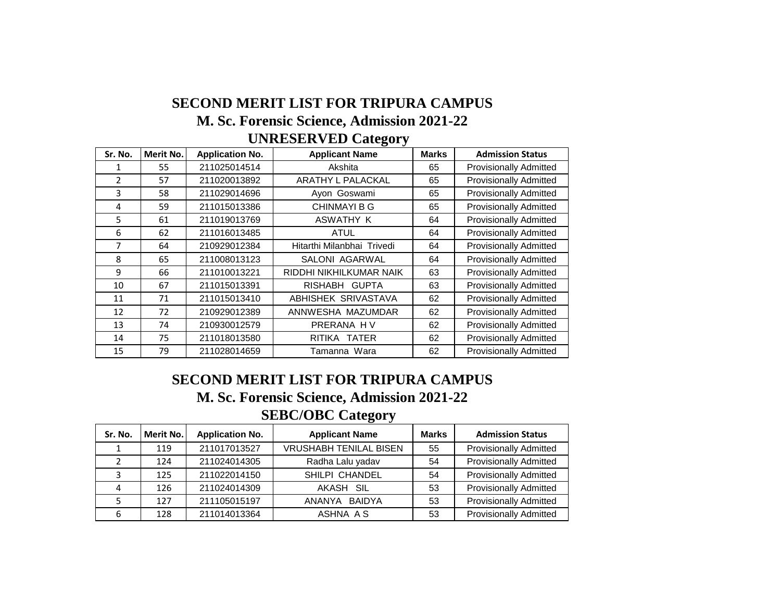## **SECOND MERIT LIST FOR TRIPURA CAMPUS M. Sc. Forensic Science, Admission 2021-22 UNRESERVED Category**

| Sr. No.        | Merit No. | <b>Application No.</b> | <b>Applicant Name</b>      | <b>Marks</b> | <b>Admission Status</b>       |
|----------------|-----------|------------------------|----------------------------|--------------|-------------------------------|
|                | 55        | 211025014514           | Akshita                    | 65           | <b>Provisionally Admitted</b> |
| $\overline{2}$ | 57        | 211020013892           | ARATHY L PALACKAL          | 65           | <b>Provisionally Admitted</b> |
| 3              | 58        | 211029014696           | Ayon Goswami               | 65           | <b>Provisionally Admitted</b> |
| 4              | 59        | 211015013386           | <b>CHINMAYI B G</b>        | 65           | <b>Provisionally Admitted</b> |
| 5              | 61        | 211019013769           | ASWATHY K                  | 64           | <b>Provisionally Admitted</b> |
| 6              | 62        | 211016013485           | ATUL                       | 64           | <b>Provisionally Admitted</b> |
| 7              | 64        | 210929012384           | Hitarthi Milanbhai Trivedi | 64           | <b>Provisionally Admitted</b> |
| 8              | 65        | 211008013123           | SALONI AGARWAL             | 64           | <b>Provisionally Admitted</b> |
| 9              | 66        | 211010013221           | RIDDHI NIKHILKUMAR NAIK    | 63           | <b>Provisionally Admitted</b> |
| 10             | 67        | 211015013391           | RISHABH GUPTA              | 63           | <b>Provisionally Admitted</b> |
| 11             | 71        | 211015013410           | ABHISHEK SRIVASTAVA        | 62           | <b>Provisionally Admitted</b> |
| 12             | 72        | 210929012389           | ANNWESHA MAZUMDAR          | 62           | <b>Provisionally Admitted</b> |
| 13             | 74        | 210930012579           | PRERANA HV                 | 62           | <b>Provisionally Admitted</b> |
| 14             | 75        | 211018013580           | RITIKA TATER               | 62           | <b>Provisionally Admitted</b> |
| 15             | 79        | 211028014659           | Tamanna Wara               | 62           | <b>Provisionally Admitted</b> |

## **SEBC/OBC Category SECOND MERIT LIST FOR TRIPURA CAMPUS M. Sc. Forensic Science, Admission 2021-22**

| Sr. No. | Merit No. | <b>Application No.</b> | <b>Applicant Name</b>         | <b>Marks</b> | <b>Admission Status</b>       |
|---------|-----------|------------------------|-------------------------------|--------------|-------------------------------|
|         | 119       | 211017013527           | <b>VRUSHABH TENILAL BISEN</b> | 55           | <b>Provisionally Admitted</b> |
|         | 124       | 211024014305           | Radha Lalu yadav              | 54           | <b>Provisionally Admitted</b> |
| 2       | 125       | 211022014150           | SHILPI CHANDEL                | 54           | <b>Provisionally Admitted</b> |
| 4       | 126       | 211024014309           | AKASH SIL                     | 53           | <b>Provisionally Admitted</b> |
|         | 127       | 211105015197           | ANANYA BAIDYA                 | 53           | <b>Provisionally Admitted</b> |
| 6       | 128       | 211014013364           | ASHNA A S                     | 53           | <b>Provisionally Admitted</b> |